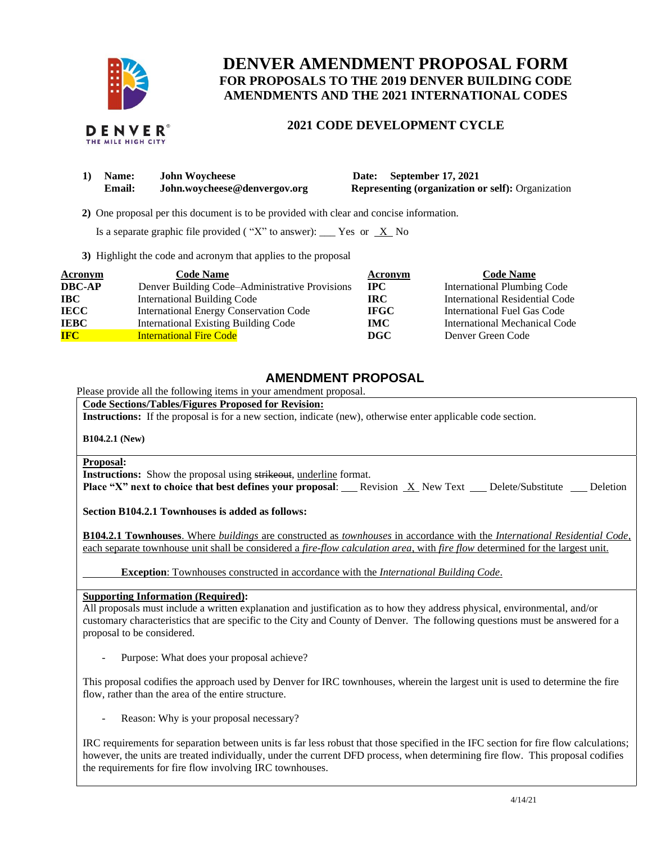

# **DENVER AMENDMENT PROPOSAL FORM FOR PROPOSALS TO THE 2019 DENVER BUILDING CODE AMENDMENTS AND THE 2021 INTERNATIONAL CODES**

# **2021 CODE DEVELOPMENT CYCLE**

| 1) | <b>Name:</b>  | <b>John Woycheese</b>        |
|----|---------------|------------------------------|
|    | <b>Email:</b> | John.wovcheese@denvergov.org |

**10 Date: September 17, 2021 Representing (organization or self):** Organization

 **2)** One proposal per this document is to be provided with clear and concise information.

Is a separate graphic file provided ("X" to answer): \_\_\_ Yes or  $X$  No

**3)** Highlight the code and acronym that applies to the proposal

| <b>Acronym</b> | <b>Code Name</b>                               | Acronym     | <b>Code Name</b>                   |
|----------------|------------------------------------------------|-------------|------------------------------------|
| <b>DBC-AP</b>  | Denver Building Code-Administrative Provisions | <b>IPC</b>  | <b>International Plumbing Code</b> |
| <b>IBC</b>     | <b>International Building Code</b>             | IRC-        | International Residential Code     |
| <b>IECC</b>    | <b>International Energy Conservation Code</b>  | <b>IFGC</b> | International Fuel Gas Code        |
| <b>IEBC</b>    | <b>International Existing Building Code</b>    | <b>IMC</b>  | International Mechanical Code      |
| <b>IFC</b>     | <b>International Fire Code</b>                 | DGC         | Denver Green Code                  |

## **AMENDMENT PROPOSAL**

Please provide all the following items in your amendment proposal.

**Code Sections/Tables/Figures Proposed for Revision:**

**Instructions:** If the proposal is for a new section, indicate (new), otherwise enter applicable code section.

**B104.2.1 (New)**

#### **Proposal:**

**Instructions:** Show the proposal using strikeout, underline format.

**Place "X" next to choice that best defines your proposal:** Revision X New Text Delete/Substitute Deletion

**Section B104.2.1 Townhouses is added as follows:**

**B104.2.1 Townhouses**. Where *buildings* are constructed as *townhouses* in accordance with the *International Residential Code,*  each separate townhouse unit shall be considered a *fire-flow calculation area*, with *fire flow* determined for the largest unit.

**Exception**: Townhouses constructed in accordance with the *International Building Code*.

**Supporting Information (Required):** 

All proposals must include a written explanation and justification as to how they address physical, environmental, and/or customary characteristics that are specific to the City and County of Denver. The following questions must be answered for a proposal to be considered.

Purpose: What does your proposal achieve?

This proposal codifies the approach used by Denver for IRC townhouses, wherein the largest unit is used to determine the fire flow, rather than the area of the entire structure.

Reason: Why is your proposal necessary?

IRC requirements for separation between units is far less robust that those specified in the IFC section for fire flow calculations; however, the units are treated individually, under the current DFD process, when determining fire flow. This proposal codifies the requirements for fire flow involving IRC townhouses.